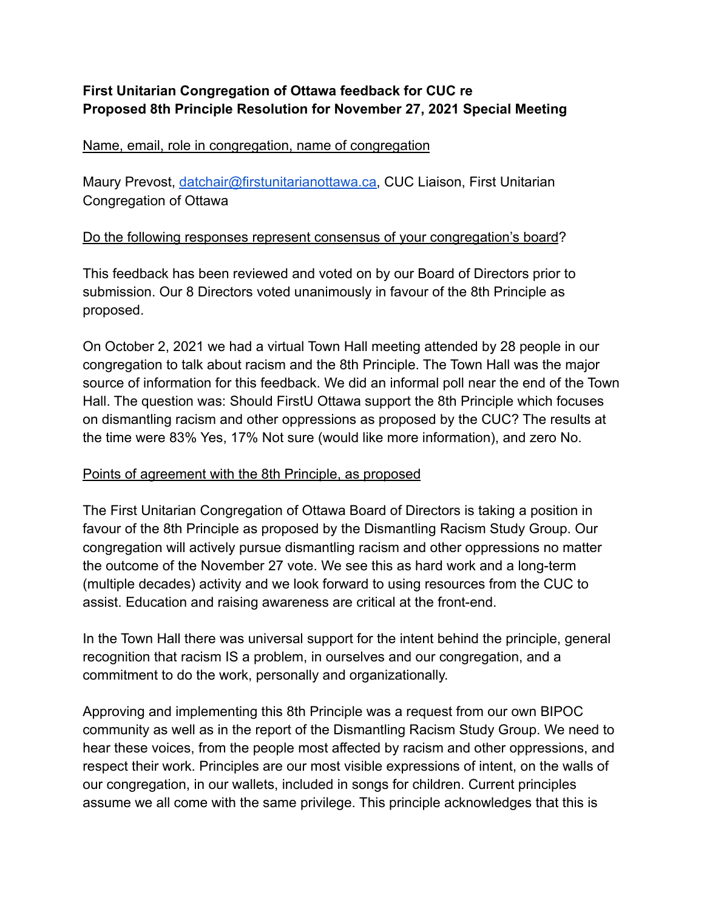# **First Unitarian Congregation of Ottawa feedback for CUC re Proposed 8th Principle Resolution for November 27, 2021 Special Meeting**

## Name, email, role in congregation, name of congregation

Maury Prevost, [datchair@firstunitarianottawa.ca,](mailto:datchair@firstunitarianottawa.ca) CUC Liaison, First Unitarian Congregation of Ottawa

## Do the following responses represent consensus of your congregation's board?

This feedback has been reviewed and voted on by our Board of Directors prior to submission. Our 8 Directors voted unanimously in favour of the 8th Principle as proposed.

On October 2, 2021 we had a virtual Town Hall meeting attended by 28 people in our congregation to talk about racism and the 8th Principle. The Town Hall was the major source of information for this feedback. We did an informal poll near the end of the Town Hall. The question was: Should FirstU Ottawa support the 8th Principle which focuses on dismantling racism and other oppressions as proposed by the CUC? The results at the time were 83% Yes, 17% Not sure (would like more information), and zero No.

## Points of agreement with the 8th Principle, as proposed

The First Unitarian Congregation of Ottawa Board of Directors is taking a position in favour of the 8th Principle as proposed by the Dismantling Racism Study Group. Our congregation will actively pursue dismantling racism and other oppressions no matter the outcome of the November 27 vote. We see this as hard work and a long-term (multiple decades) activity and we look forward to using resources from the CUC to assist. Education and raising awareness are critical at the front-end.

In the Town Hall there was universal support for the intent behind the principle, general recognition that racism IS a problem, in ourselves and our congregation, and a commitment to do the work, personally and organizationally.

Approving and implementing this 8th Principle was a request from our own BIPOC community as well as in the report of the Dismantling Racism Study Group. We need to hear these voices, from the people most affected by racism and other oppressions, and respect their work. Principles are our most visible expressions of intent, on the walls of our congregation, in our wallets, included in songs for children. Current principles assume we all come with the same privilege. This principle acknowledges that this is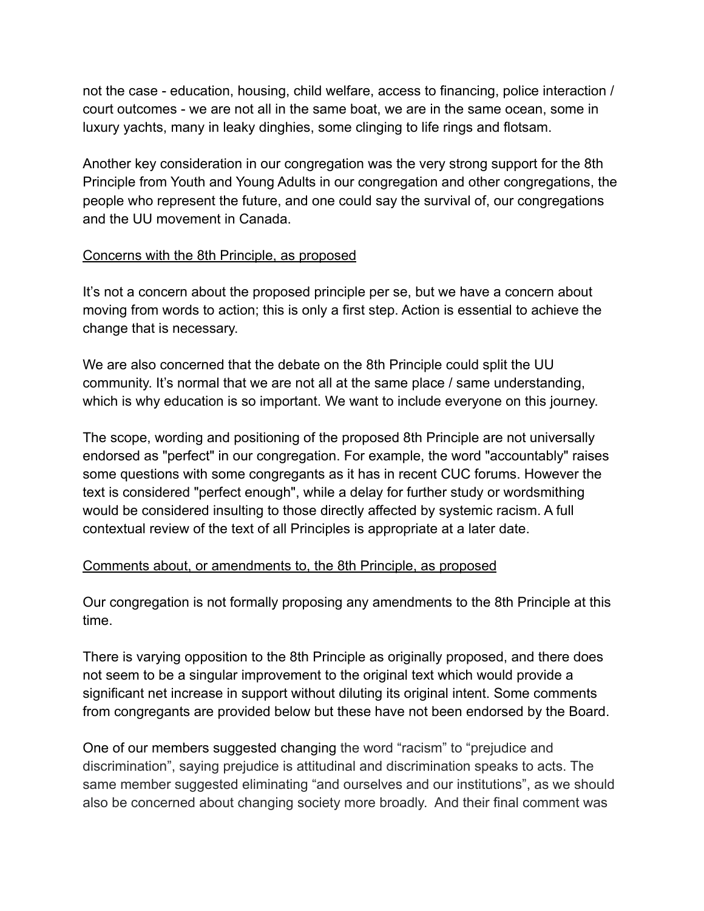not the case - education, housing, child welfare, access to financing, police interaction / court outcomes - we are not all in the same boat, we are in the same ocean, some in luxury yachts, many in leaky dinghies, some clinging to life rings and flotsam.

Another key consideration in our congregation was the very strong support for the 8th Principle from Youth and Young Adults in our congregation and other congregations, the people who represent the future, and one could say the survival of, our congregations and the UU movement in Canada.

### Concerns with the 8th Principle, as proposed

It's not a concern about the proposed principle per se, but we have a concern about moving from words to action; this is only a first step. Action is essential to achieve the change that is necessary.

We are also concerned that the debate on the 8th Principle could split the UU community. It's normal that we are not all at the same place / same understanding, which is why education is so important. We want to include everyone on this journey.

The scope, wording and positioning of the proposed 8th Principle are not universally endorsed as "perfect" in our congregation. For example, the word "accountably" raises some questions with some congregants as it has in recent CUC forums. However the text is considered "perfect enough", while a delay for further study or wordsmithing would be considered insulting to those directly affected by systemic racism. A full contextual review of the text of all Principles is appropriate at a later date.

## Comments about, or amendments to, the 8th Principle, as proposed

Our congregation is not formally proposing any amendments to the 8th Principle at this time.

There is varying opposition to the 8th Principle as originally proposed, and there does not seem to be a singular improvement to the original text which would provide a significant net increase in support without diluting its original intent. Some comments from congregants are provided below but these have not been endorsed by the Board.

One of our members suggested changing the word "racism" to "prejudice and discrimination", saying prejudice is attitudinal and discrimination speaks to acts. The same member suggested eliminating "and ourselves and our institutions", as we should also be concerned about changing society more broadly. And their final comment was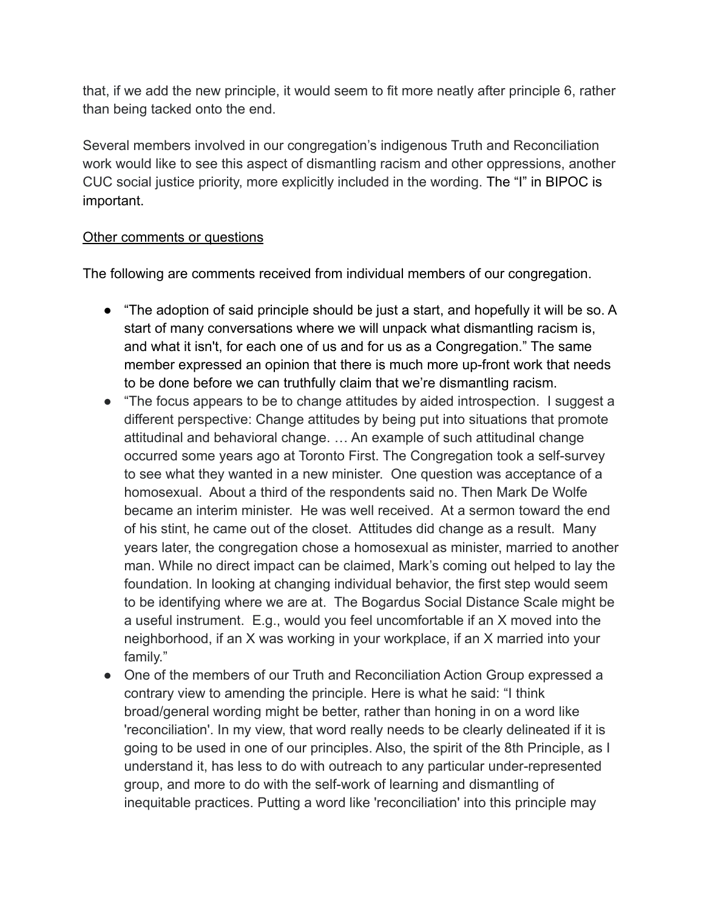that, if we add the new principle, it would seem to fit more neatly after principle 6, rather than being tacked onto the end.

Several members involved in our congregation's indigenous Truth and Reconciliation work would like to see this aspect of dismantling racism and other oppressions, another CUC social justice priority, more explicitly included in the wording. The "I" in BIPOC is important.

## Other comments or questions

The following are comments received from individual members of our congregation.

- "The adoption of said principle should be just a start, and hopefully it will be so. A start of many conversations where we will unpack what dismantling racism is, and what it isn't, for each one of us and for us as a Congregation." The same member expressed an opinion that there is much more up-front work that needs to be done before we can truthfully claim that we're dismantling racism.
- "The focus appears to be to change attitudes by aided introspection. I suggest a different perspective: Change attitudes by being put into situations that promote attitudinal and behavioral change. … An example of such attitudinal change occurred some years ago at Toronto First. The Congregation took a self-survey to see what they wanted in a new minister. One question was acceptance of a homosexual. About a third of the respondents said no. Then Mark De Wolfe became an interim minister. He was well received. At a sermon toward the end of his stint, he came out of the closet. Attitudes did change as a result. Many years later, the congregation chose a homosexual as minister, married to another man. While no direct impact can be claimed, Mark's coming out helped to lay the foundation. In looking at changing individual behavior, the first step would seem to be identifying where we are at. The Bogardus Social Distance Scale might be a useful instrument. E.g., would you feel uncomfortable if an X moved into the neighborhood, if an X was working in your workplace, if an X married into your family."
- One of the members of our Truth and Reconciliation Action Group expressed a contrary view to amending the principle. Here is what he said: "I think broad/general wording might be better, rather than honing in on a word like 'reconciliation'. In my view, that word really needs to be clearly delineated if it is going to be used in one of our principles. Also, the spirit of the 8th Principle, as I understand it, has less to do with outreach to any particular under-represented group, and more to do with the self-work of learning and dismantling of inequitable practices. Putting a word like 'reconciliation' into this principle may